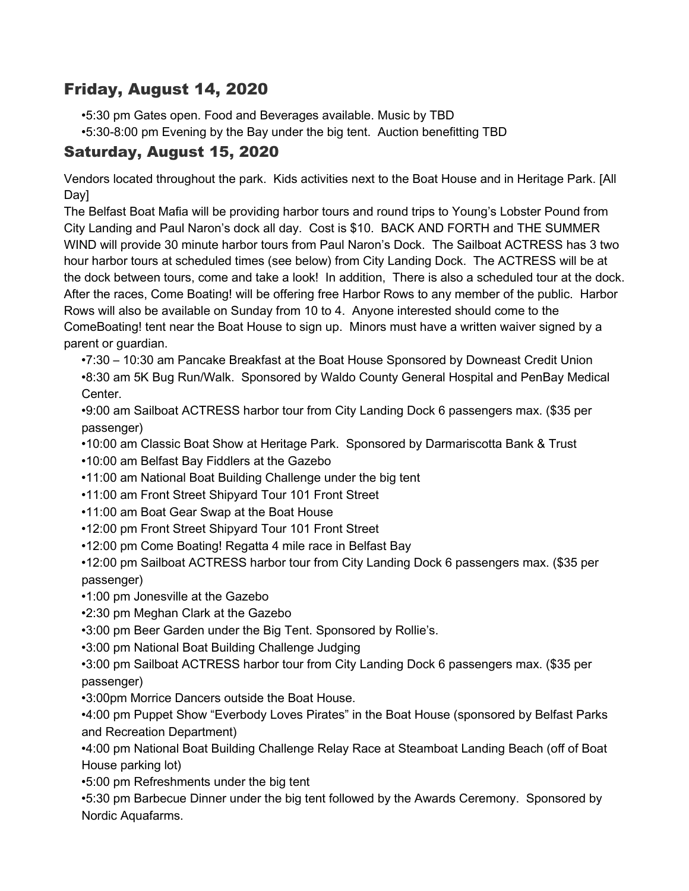## Friday, August 14, 2020

- •5:30 pm Gates open. Food and Beverages available. Music by TBD
- •5:30-8:00 pm Evening by the Bay under the big tent. Auction benefitting TBD

## Saturday, August 15, 2020

Vendors located throughout the park. Kids activities next to the Boat House and in Heritage Park. [All Day]

The Belfast Boat Mafia will be providing harbor tours and round trips to Young's Lobster Pound from City Landing and Paul Naron's dock all day. Cost is \$10. BACK AND FORTH and THE SUMMER WIND will provide 30 minute harbor tours from Paul Naron's Dock. The Sailboat ACTRESS has 3 two hour harbor tours at scheduled times (see below) from City Landing Dock. The ACTRESS will be at the dock between tours, come and take a look! In addition, There is also a scheduled tour at the dock. After the races, Come Boating! will be offering free Harbor Rows to any member of the public. Harbor Rows will also be available on Sunday from 10 to 4. Anyone interested should come to the ComeBoating! tent near the Boat House to sign up. Minors must have a written waiver signed by a parent or guardian.

•7:30 – 10:30 am Pancake Breakfast at the Boat House Sponsored by Downeast Credit Union •8:30 am 5K Bug Run/Walk. Sponsored by Waldo County General Hospital and PenBay Medical Center.

•9:00 am Sailboat ACTRESS harbor tour from City Landing Dock 6 passengers max. (\$35 per passenger)

- •10:00 am Classic Boat Show at Heritage Park. Sponsored by Darmariscotta Bank & Trust
- •10:00 am Belfast Bay Fiddlers at the Gazebo
- •11:00 am National Boat Building Challenge under the big tent
- •11:00 am Front Street Shipyard Tour 101 Front Street
- •11:00 am Boat Gear Swap at the Boat House
- •12:00 pm Front Street Shipyard Tour 101 Front Street
- •12:00 pm Come Boating! Regatta 4 mile race in Belfast Bay

•12:00 pm Sailboat ACTRESS harbor tour from City Landing Dock 6 passengers max. (\$35 per passenger)

- •1:00 pm Jonesville at the Gazebo
- •2:30 pm Meghan Clark at the Gazebo
- •3:00 pm Beer Garden under the Big Tent. Sponsored by Rollie's.
- •3:00 pm National Boat Building Challenge Judging

•3:00 pm Sailboat ACTRESS harbor tour from City Landing Dock 6 passengers max. (\$35 per passenger)

•3:00pm Morrice Dancers outside the Boat House.

•4:00 pm Puppet Show "Everbody Loves Pirates" in the Boat House (sponsored by Belfast Parks and Recreation Department)

•4:00 pm National Boat Building Challenge Relay Race at Steamboat Landing Beach (off of Boat House parking lot)

•5:00 pm Refreshments under the big tent

•5:30 pm Barbecue Dinner under the big tent followed by the Awards Ceremony. Sponsored by Nordic Aquafarms.